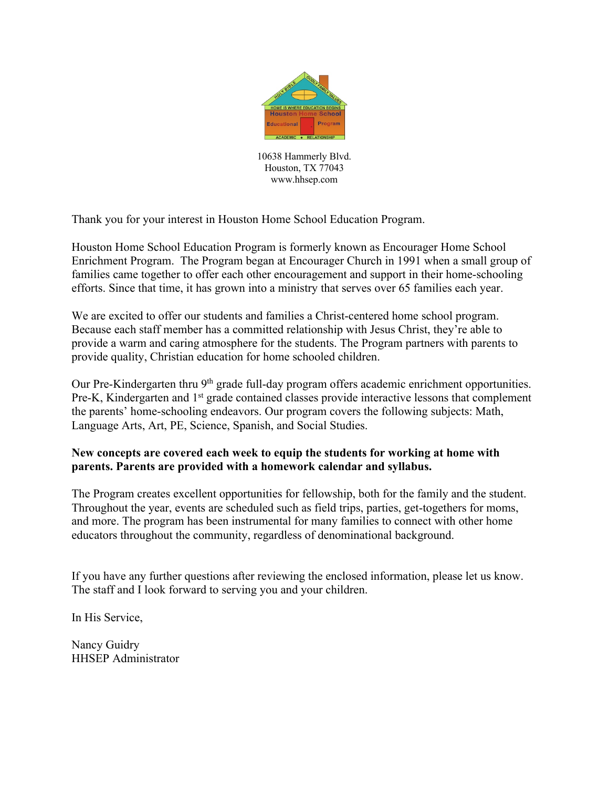

10638 Hammerly Blvd. Houston, TX 77043 www.hhsep.com

Thank you for your interest in Houston Home School Education Program.

Houston Home School Education Program is formerly known as Encourager Home School Enrichment Program. The Program began at Encourager Church in 1991 when a small group of families came together to offer each other encouragement and support in their home-schooling efforts. Since that time, it has grown into a ministry that serves over 65 families each year.

We are excited to offer our students and families a Christ-centered home school program. Because each staff member has a committed relationship with Jesus Christ, they're able to provide a warm and caring atmosphere for the students. The Program partners with parents to provide quality, Christian education for home schooled children.

Our Pre-Kindergarten thru 9<sup>th</sup> grade full-day program offers academic enrichment opportunities. Pre-K, Kindergarten and 1<sup>st</sup> grade contained classes provide interactive lessons that complement the parents' home-schooling endeavors. Our program covers the following subjects: Math, Language Arts, Art, PE, Science, Spanish, and Social Studies.

#### **New concepts are covered each week to equip the students for working at home with parents. Parents are provided with a homework calendar and syllabus.**

The Program creates excellent opportunities for fellowship, both for the family and the student. Throughout the year, events are scheduled such as field trips, parties, get-togethers for moms, and more. The program has been instrumental for many families to connect with other home educators throughout the community, regardless of denominational background.

If you have any further questions after reviewing the enclosed information, please let us know. The staff and I look forward to serving you and your children.

In His Service,

Nancy Guidry HHSEP Administrator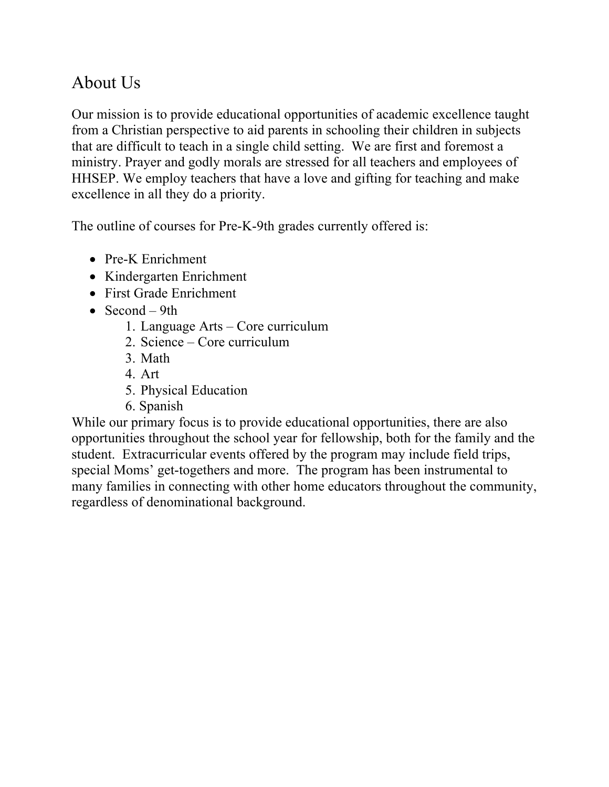# About Us

Our mission is to provide educational opportunities of academic excellence taught from a Christian perspective to aid parents in schooling their children in subjects that are difficult to teach in a single child setting. We are first and foremost a ministry. Prayer and godly morals are stressed for all teachers and employees of HHSEP. We employ teachers that have a love and gifting for teaching and make excellence in all they do a priority.

The outline of courses for Pre-K-9th grades currently offered is:

- Pre-K Enrichment
- Kindergarten Enrichment
- First Grade Enrichment
- Second  $-9th$ 
	- 1. Language Arts Core curriculum
	- 2. Science Core curriculum
	- 3. Math
	- 4. Art
	- 5. Physical Education
	- 6. Spanish

While our primary focus is to provide educational opportunities, there are also opportunities throughout the school year for fellowship, both for the family and the student. Extracurricular events offered by the program may include field trips, special Moms' get-togethers and more. The program has been instrumental to many families in connecting with other home educators throughout the community, regardless of denominational background.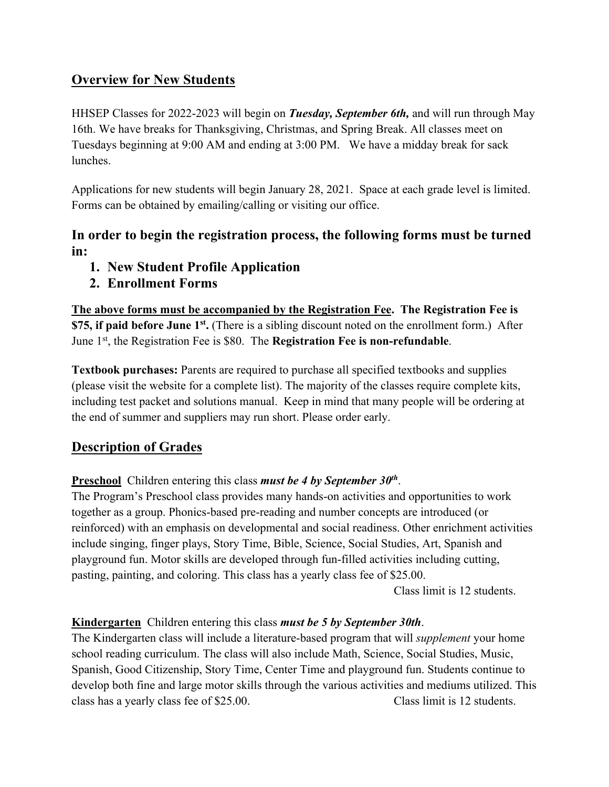## **Overview for New Students**

HHSEP Classes for 2022-2023 will begin on *Tuesday, September 6th,* and will run through May 16th. We have breaks for Thanksgiving, Christmas, and Spring Break. All classes meet on Tuesdays beginning at 9:00 AM and ending at 3:00 PM. We have a midday break for sack lunches.

Applications for new students will begin January 28, 2021. Space at each grade level is limited. Forms can be obtained by emailing/calling or visiting our office.

## **In order to begin the registration process, the following forms must be turned in:**

- **1. New Student Profile Application**
- **2. Enrollment Forms**

**The above forms must be accompanied by the Registration Fee. The Registration Fee is \$75, if paid before June 1st.** (There is a sibling discount noted on the enrollment form.) After June 1st, the Registration Fee is \$80. The **Registration Fee is non-refundable**.

**Textbook purchases:** Parents are required to purchase all specified textbooks and supplies (please visit the website for a complete list). The majority of the classes require complete kits, including test packet and solutions manual. Keep in mind that many people will be ordering at the end of summer and suppliers may run short. Please order early.

# **Description of Grades**

**Preschool** Children entering this class *must be 4 by September 30th*.

The Program's Preschool class provides many hands-on activities and opportunities to work together as a group. Phonics-based pre-reading and number concepts are introduced (or reinforced) with an emphasis on developmental and social readiness. Other enrichment activities include singing, finger plays, Story Time, Bible, Science, Social Studies, Art, Spanish and playground fun. Motor skills are developed through fun-filled activities including cutting, pasting, painting, and coloring. This class has a yearly class fee of \$25.00.

Class limit is 12 students.

## **Kindergarten** Children entering this class *must be 5 by September 30th*.

The Kindergarten class will include a literature-based program that will *supplement* your home school reading curriculum. The class will also include Math, Science, Social Studies, Music, Spanish, Good Citizenship, Story Time, Center Time and playground fun. Students continue to develop both fine and large motor skills through the various activities and mediums utilized. This class has a yearly class fee of \$25.00. Class limit is 12 students.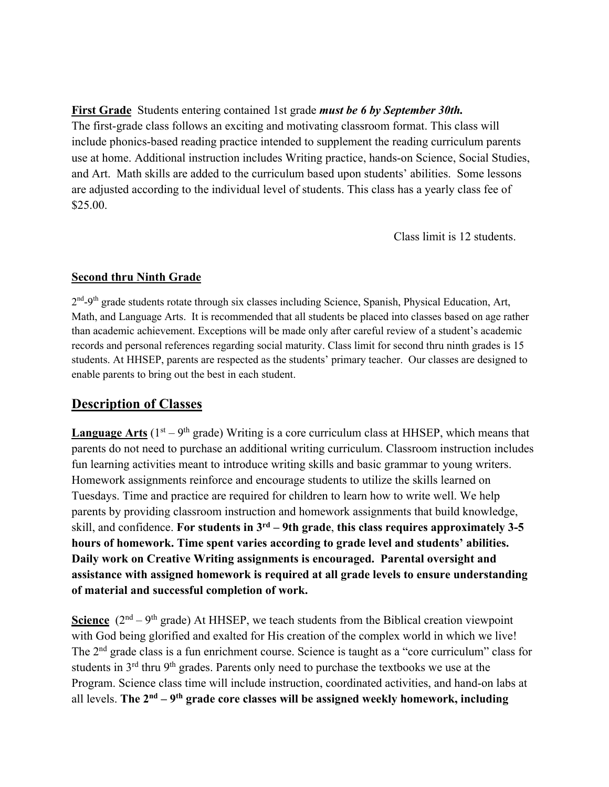**First Grade** Students entering contained 1st grade *must be 6 by September 30th.*  The first-grade class follows an exciting and motivating classroom format. This class will include phonics-based reading practice intended to supplement the reading curriculum parents use at home. Additional instruction includes Writing practice, hands-on Science, Social Studies, and Art. Math skills are added to the curriculum based upon students' abilities. Some lessons are adjusted according to the individual level of students. This class has a yearly class fee of \$25.00.

Class limit is 12 students.

#### **Second thru Ninth Grade**

2<sup>nd</sup>-9<sup>th</sup> grade students rotate through six classes including Science, Spanish, Physical Education, Art, Math, and Language Arts. It is recommended that all students be placed into classes based on age rather than academic achievement. Exceptions will be made only after careful review of a student's academic records and personal references regarding social maturity. Class limit for second thru ninth grades is 15 students. At HHSEP, parents are respected as the students' primary teacher. Our classes are designed to enable parents to bring out the best in each student.

## **Description of Classes**

**Language Arts** ( $1<sup>st</sup> - 9<sup>th</sup>$  grade) Writing is a core curriculum class at HHSEP, which means that parents do not need to purchase an additional writing curriculum. Classroom instruction includes fun learning activities meant to introduce writing skills and basic grammar to young writers. Homework assignments reinforce and encourage students to utilize the skills learned on Tuesdays. Time and practice are required for children to learn how to write well. We help parents by providing classroom instruction and homework assignments that build knowledge, skill, and confidence. **For students in 3rd – 9th grade**, **this class requires approximately 3-5 hours of homework. Time spent varies according to grade level and students' abilities. Daily work on Creative Writing assignments is encouraged. Parental oversight and assistance with assigned homework is required at all grade levels to ensure understanding of material and successful completion of work.**

**Science**  $(2<sup>nd</sup> - 9<sup>th</sup> grade)$  At HHSEP, we teach students from the Biblical creation viewpoint with God being glorified and exalted for His creation of the complex world in which we live! The 2<sup>nd</sup> grade class is a fun enrichment course. Science is taught as a "core curriculum" class for students in 3<sup>rd</sup> thru 9<sup>th</sup> grades. Parents only need to purchase the textbooks we use at the Program. Science class time will include instruction, coordinated activities, and hand-on labs at all levels. **The 2nd – 9th grade core classes will be assigned weekly homework, including**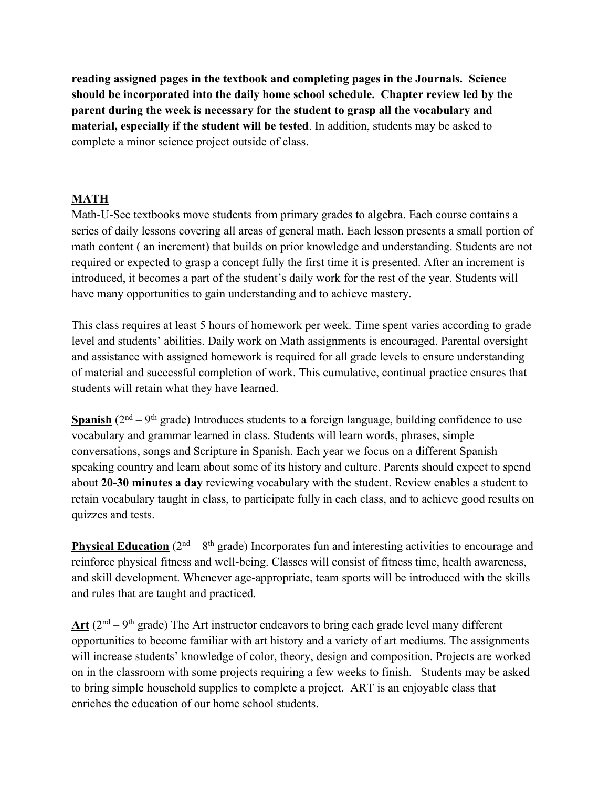**reading assigned pages in the textbook and completing pages in the Journals. Science should be incorporated into the daily home school schedule. Chapter review led by the parent during the week is necessary for the student to grasp all the vocabulary and material, especially if the student will be tested**. In addition, students may be asked to complete a minor science project outside of class.

### **MATH**

Math-U-See textbooks move students from primary grades to algebra. Each course contains a series of daily lessons covering all areas of general math. Each lesson presents a small portion of math content ( an increment) that builds on prior knowledge and understanding. Students are not required or expected to grasp a concept fully the first time it is presented. After an increment is introduced, it becomes a part of the student's daily work for the rest of the year. Students will have many opportunities to gain understanding and to achieve mastery.

This class requires at least 5 hours of homework per week. Time spent varies according to grade level and students' abilities. Daily work on Math assignments is encouraged. Parental oversight and assistance with assigned homework is required for all grade levels to ensure understanding of material and successful completion of work. This cumulative, continual practice ensures that students will retain what they have learned.

**Spanish** ( $2<sup>nd</sup> - 9<sup>th</sup>$  grade) Introduces students to a foreign language, building confidence to use vocabulary and grammar learned in class. Students will learn words, phrases, simple conversations, songs and Scripture in Spanish. Each year we focus on a different Spanish speaking country and learn about some of its history and culture. Parents should expect to spend about **20-30 minutes a day** reviewing vocabulary with the student. Review enables a student to retain vocabulary taught in class, to participate fully in each class, and to achieve good results on quizzes and tests.

**Physical Education** ( $2<sup>nd</sup> - 8<sup>th</sup>$  grade) Incorporates fun and interesting activities to encourage and reinforce physical fitness and well-being. Classes will consist of fitness time, health awareness, and skill development. Whenever age-appropriate, team sports will be introduced with the skills and rules that are taught and practiced.

Art  $(2<sup>nd</sup> - 9<sup>th</sup>$  grade) The Art instructor endeavors to bring each grade level many different opportunities to become familiar with art history and a variety of art mediums. The assignments will increase students' knowledge of color, theory, design and composition. Projects are worked on in the classroom with some projects requiring a few weeks to finish. Students may be asked to bring simple household supplies to complete a project. ART is an enjoyable class that enriches the education of our home school students.